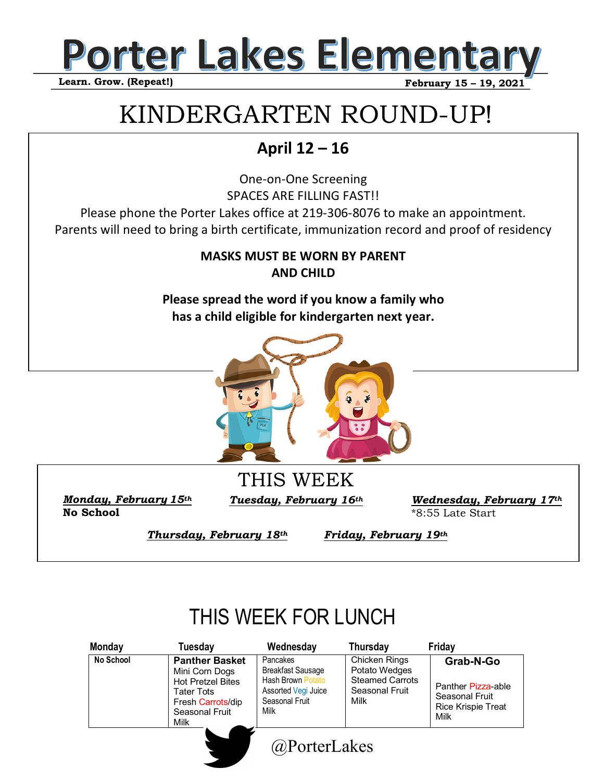

# KINDERGARTEN ROUND-UP!

### **April 12 – 16**

One-on-One Screening SPACES ARE FILLING FAST!! Please phone the Porter Lakes office at 219-306-8076 to make an appointment. Parents will need to bring a birth certificate, immunization record and proof of residency

> **MASKS MUST BE WORN BY PARENT AND CHILD**

**Please spread the word if you know a family who has a child eligible for kindergarten next year.**



**No School** 

*Monday, February* 15<sup>th</sup> *Tuesday, February* 16<sup>th</sup>

THIS WEEK

*Wednesday, February 17th*  \*8:55 Late Start

*Thursday, February 18th* 

*Friday, February 19th* 

## THIS WEEK FOR LUNCH

| <b>Monday</b> | Tuesday                                                                                                                          | Wednesday                                                                                                         | <b>Thursday</b>                                                                    | Friday                                                                                 |
|---------------|----------------------------------------------------------------------------------------------------------------------------------|-------------------------------------------------------------------------------------------------------------------|------------------------------------------------------------------------------------|----------------------------------------------------------------------------------------|
| No School     | <b>Panther Basket</b><br>Mini Corn Dogs<br><b>Hot Pretzel Bites</b><br>Tater Tots<br>Fresh Carrots/dip<br>Seasonal Fruit<br>Milk | Pancakes<br><b>Breakfast Sausage</b><br><b>Hash Brown Potato</b><br>Assorted Vegi Juice<br>Seasonal Fruit<br>Milk | Chicken Rings<br>Potato Wedges<br><b>Steamed Carrots</b><br>Seasonal Fruit<br>Milk | Grab-N-Go<br>Panther Pizza-able<br>Seasonal Fruit<br><b>Rice Krispie Treat</b><br>Milk |
|               |                                                                                                                                  | @PorterLakes                                                                                                      |                                                                                    |                                                                                        |